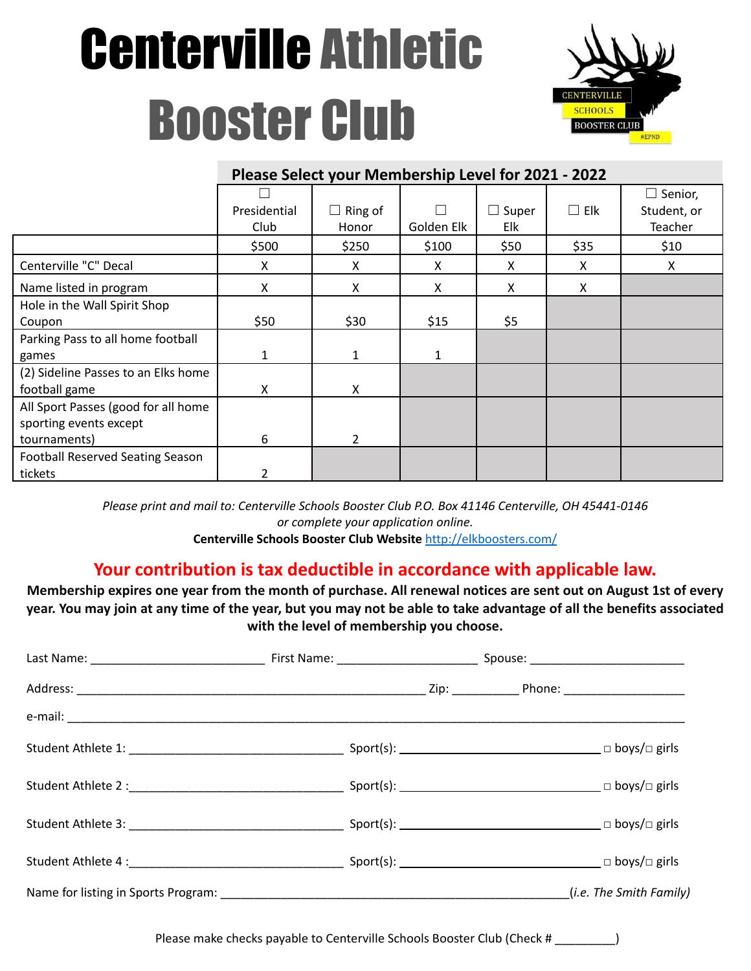# Centerville Athletic Booster Club



|                                         | THE READ SCIELLY YOUR INTERNATIONAL LEVEL TO LEVEL LOCK |                |            |              |            |                |
|-----------------------------------------|---------------------------------------------------------|----------------|------------|--------------|------------|----------------|
|                                         |                                                         |                |            |              |            | $\Box$ Senior, |
|                                         | Presidential                                            | $\Box$ Ring of |            | $\Box$ Super | $\Box$ Elk | Student, or    |
|                                         | Club                                                    | Honor          | Golden Elk | Elk          |            | Teacher        |
|                                         | \$500                                                   | \$250          | \$100      | \$50         | \$35       | \$10           |
| Centerville "C" Decal                   | X                                                       | X              | X          | X            | X          | X              |
| Name listed in program                  | Χ                                                       | X              | X          | X            | X          |                |
| Hole in the Wall Spirit Shop            |                                                         |                |            |              |            |                |
| Coupon                                  | \$50                                                    | \$30           | \$15       | \$5          |            |                |
| Parking Pass to all home football       |                                                         |                |            |              |            |                |
| games                                   | 1                                                       |                | 1          |              |            |                |
| (2) Sideline Passes to an Elks home     |                                                         |                |            |              |            |                |
| football game                           | Χ                                                       | X              |            |              |            |                |
| All Sport Passes (good for all home     |                                                         |                |            |              |            |                |
| sporting events except                  |                                                         |                |            |              |            |                |
| tournaments)                            | 6                                                       | $\overline{2}$ |            |              |            |                |
| <b>Football Reserved Seating Season</b> |                                                         |                |            |              |            |                |
| tickets                                 | 2                                                       |                |            |              |            |                |

**Please Select your Membership Level for 2021 - 2022**

*Please print and mail to: Centerville Schools Booster Club P.O. Box 41146 Centerville, OH 45441-0146 or complete your application online.*

**Centerville Schools Booster Club Website** <http://elkboosters.com/>

## **Your contribution is tax deductible in accordance with applicable law.**

**Membership expires one year from the month of purchase. All renewal notices are sent out on August 1st of every year. You may join at any time of the year, but you may not be able to take advantage of all the benefits associated with the level of membership you choose.**

|  | (i.e. The Smith Family) |
|--|-------------------------|

Please make checks payable to Centerville Schools Booster Club (Check #